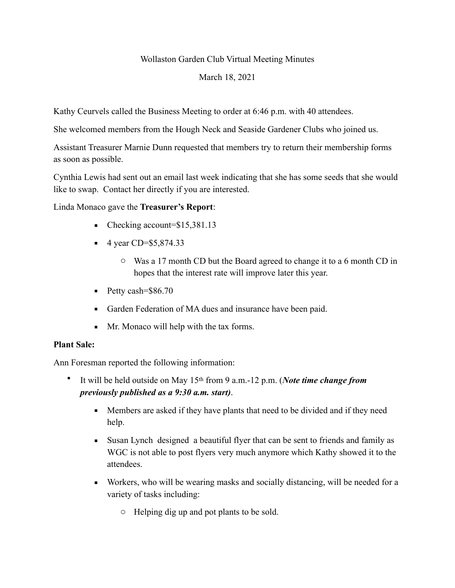Wollaston Garden Club Virtual Meeting Minutes

## March 18, 2021

Kathy Ceurvels called the Business Meeting to order at 6:46 p.m. with 40 attendees.

She welcomed members from the Hough Neck and Seaside Gardener Clubs who joined us.

Assistant Treasurer Marnie Dunn requested that members try to return their membership forms as soon as possible.

Cynthia Lewis had sent out an email last week indicating that she has some seeds that she would like to swap. Contact her directly if you are interested.

Linda Monaco gave the **Treasurer's Report**:

- Checking account=\$15,381.13
- $\blacksquare$  4 year CD=\$5,874.33
	- o Was a 17 month CD but the Board agreed to change it to a 6 month CD in hopes that the interest rate will improve later this year.
- $\blacksquare$  Petty cash=\$86.70
- Garden Federation of MA dues and insurance have been paid.
- Mr. Monaco will help with the tax forms.

## **Plant Sale:**

Ann Foresman reported the following information:

- It will be held outside on May 15th from 9 a.m.-12 p.m. (*Note time change from previously published as a 9:30 a.m. start)*.
	- **•** Members are asked if they have plants that need to be divided and if they need help.
	- Susan Lynch designed a beautiful flyer that can be sent to friends and family as WGC is not able to post flyers very much anymore which Kathy showed it to the attendees.
	- Workers, who will be wearing masks and socially distancing, will be needed for a variety of tasks including:
		- o Helping dig up and pot plants to be sold.